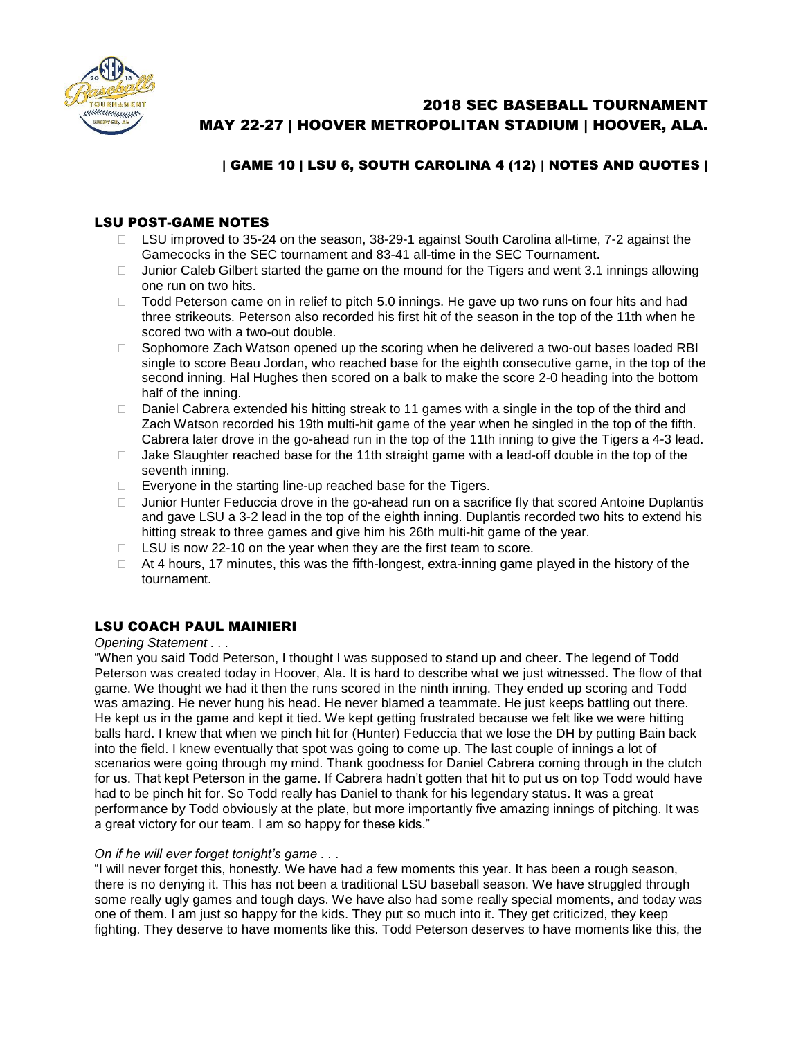

# 2018 SEC BASEBALL TOURNAMENT MAY 22-27 | HOOVER METROPOLITAN STADIUM | HOOVER, ALA.

# | GAME 10 | LSU 6, SOUTH CAROLINA 4 (12) | NOTES AND QUOTES |

# LSU POST-GAME NOTES

- □ LSU improved to 35-24 on the season, 38-29-1 against South Carolina all-time, 7-2 against the Gamecocks in the SEC tournament and 83-41 all-time in the SEC Tournament.
- $\Box$  Junior Caleb Gilbert started the game on the mound for the Tigers and went 3.1 innings allowing one run on two hits.
- $\Box$  Todd Peterson came on in relief to pitch 5.0 innings. He gave up two runs on four hits and had three strikeouts. Peterson also recorded his first hit of the season in the top of the 11th when he scored two with a two-out double.
- $\Box$  Sophomore Zach Watson opened up the scoring when he delivered a two-out bases loaded RBI single to score Beau Jordan, who reached base for the eighth consecutive game, in the top of the second inning. Hal Hughes then scored on a balk to make the score 2-0 heading into the bottom half of the inning.
- □ Daniel Cabrera extended his hitting streak to 11 games with a single in the top of the third and Zach Watson recorded his 19th multi-hit game of the year when he singled in the top of the fifth. Cabrera later drove in the go-ahead run in the top of the 11th inning to give the Tigers a 4-3 lead.
- $\Box$  Jake Slaughter reached base for the 11th straight game with a lead-off double in the top of the seventh inning.
- $\Box$  Everyone in the starting line-up reached base for the Tigers.
- $\Box$  Junior Hunter Feduccia drove in the go-ahead run on a sacrifice fly that scored Antoine Duplantis and gave LSU a 3-2 lead in the top of the eighth inning. Duplantis recorded two hits to extend his hitting streak to three games and give him his 26th multi-hit game of the year.
- $\Box$  LSU is now 22-10 on the year when they are the first team to score.
- $\Box$  At 4 hours, 17 minutes, this was the fifth-longest, extra-inning game played in the history of the tournament.

## LSU COACH PAUL MAINIERI

#### *Opening Statement . . .*

"When you said Todd Peterson, I thought I was supposed to stand up and cheer. The legend of Todd Peterson was created today in Hoover, Ala. It is hard to describe what we just witnessed. The flow of that game. We thought we had it then the runs scored in the ninth inning. They ended up scoring and Todd was amazing. He never hung his head. He never blamed a teammate. He just keeps battling out there. He kept us in the game and kept it tied. We kept getting frustrated because we felt like we were hitting balls hard. I knew that when we pinch hit for (Hunter) Feduccia that we lose the DH by putting Bain back into the field. I knew eventually that spot was going to come up. The last couple of innings a lot of scenarios were going through my mind. Thank goodness for Daniel Cabrera coming through in the clutch for us. That kept Peterson in the game. If Cabrera hadn't gotten that hit to put us on top Todd would have had to be pinch hit for. So Todd really has Daniel to thank for his legendary status. It was a great performance by Todd obviously at the plate, but more importantly five amazing innings of pitching. It was a great victory for our team. I am so happy for these kids."

#### *On if he will ever forget tonight's game . . .*

"I will never forget this, honestly. We have had a few moments this year. It has been a rough season, there is no denying it. This has not been a traditional LSU baseball season. We have struggled through some really ugly games and tough days. We have also had some really special moments, and today was one of them. I am just so happy for the kids. They put so much into it. They get criticized, they keep fighting. They deserve to have moments like this. Todd Peterson deserves to have moments like this, the